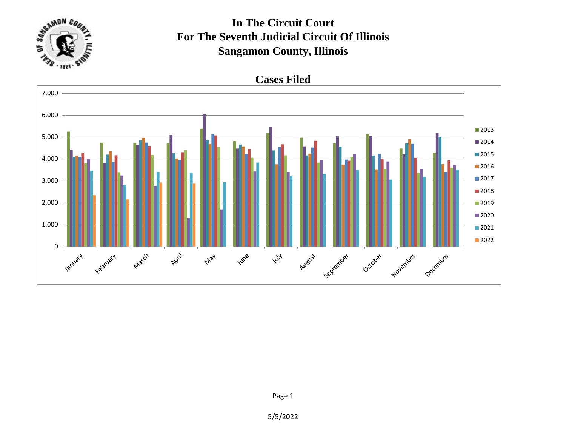

## **In The Circuit Court For The Seventh Judicial Circuit Of Illinois Sangamon County, Illinois**



5/5/2022